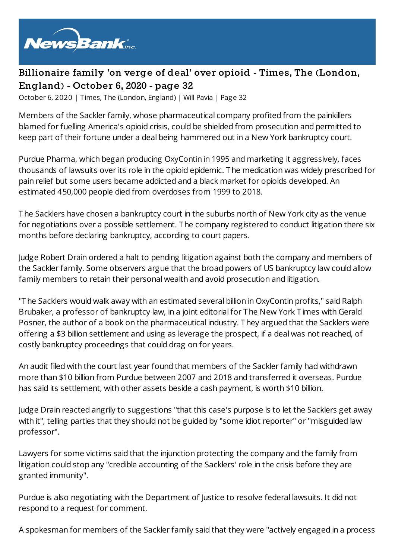

## **Billionaire family 'on verge of deal' over opioid - Times, The (London, England) - October 6, 2020 - page 32**

October 6, 2020 | Times, The (London, England) | Will Pavia | Page 32

Members of the Sackler family, whose pharmaceutical company profited from the painkillers blamed for fuelling America's opioid crisis, could be shielded from prosecution and permitted to keep part of their fortune under a deal being hammered out in a New York bankruptcy court.

Purdue Pharma, which began producing OxyContin in 1995 and marketing it aggressively, faces thousands of lawsuits over its role in the opioid epidemic. The medication was widely prescribed for pain relief but some users became addicted and a black market for opioids developed. An estimated 450,000 people died from overdoses from 1999 to 2018.

The Sacklers have chosen a bankruptcy court in the suburbs north of New York city as the venue for negotiations over a possible settlement. The company registered to conduct litigation there six months before declaring bankruptcy, according to court papers.

Judge Robert Drain ordered a halt to pending litigation against both the company and members of the Sackler family. Some observers argue that the broad powers of US bankruptcy law could allow family members to retain their personal wealth and avoid prosecution and litigation.

"The Sacklers would walk away with an estimated several billion in OxyContin profits," said Ralph Brubaker, a professor of bankruptcy law, in a joint editorial for The New York T imes with Gerald Posner, the author of a book on the pharmaceutical industry. They argued that the Sacklers were offering a \$3 billion settlement and using as leverage the prospect, if a deal was not reached, of costly bankruptcy proceedings that could drag on for years.

An audit filed with the court last year found that members of the Sackler family had withdrawn more than \$10 billion from Purdue between 2007 and 2018 and transferred it overseas. Purdue has said its settlement, with other assets beside a cash payment, is worth \$10 billion.

Judge Drain reacted angrily to suggestions "that this case's purpose is to let the Sacklers get away with it", telling parties that they should not be guided by "some idiot reporter" or "misguided law professor".

Lawyers for some victims said that the injunction protecting the company and the family from litigation could stop any "credible accounting of the Sacklers' role in the crisis before they are granted immunity".

Purdue is also negotiating with the Department of Justice to resolve federal lawsuits. It did not respond to a request for comment.

A spokesman for members of the Sackler family said that they were "actively engaged in a process